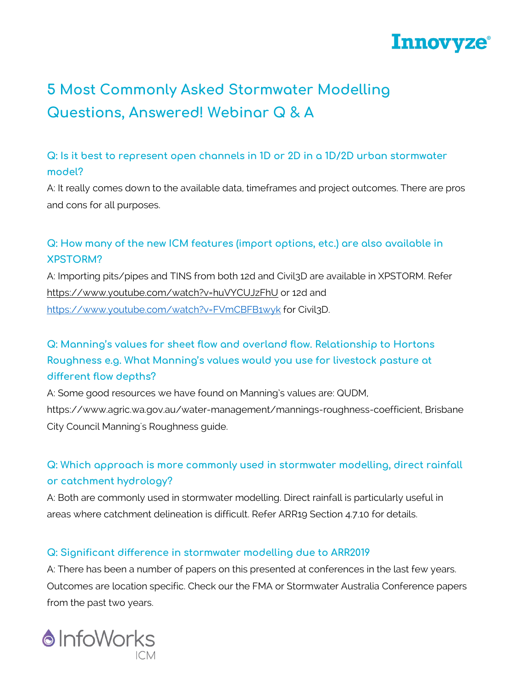

# **5 Most Commonly Asked Stormwater Modelling Questions, Answered! Webinar Q & A**

### **Q: Is it best to represent open channels in 1D or 2D in a 1D/2D urban stormwater model?**

A: It really comes down to the available data, timeframes and project outcomes. There are pros and cons for all purposes.

### **Q: How many of the new ICM features (import options, etc.) are also available in XPSTORM?**

A: Importing pits/pipes and TINS from both 12d and Civil3D are available in XPSTORM. Refer <https://www.youtube.com/watch?v=huVYCUJzFhU> or 12d and <https://www.youtube.com/watch?v=FVmCBFB1wyk> for Civil3D.

## **Q: Manning's values for sheet flow and overland flow. Relationship to Hortons Roughness e.g. What Manning's values would you use for livestock pasture at different flow depths?**

A: Some good resources we have found on Manning's values are: QUDM, https://www.agric.wa.gov.au/water-management/mannings-roughness-coefficient, Brisbane City Council Manning's Roughness guide.

## **Q: Which approach is more commonly used in stormwater modelling, direct rainfall or catchment hydrology?**

A: Both are commonly used in stormwater modelling. Direct rainfall is particularly useful in areas where catchment delineation is difficult. Refer ARR19 Section 4.7.10 for details.

#### **Q: Significant difference in stormwater modelling due to ARR2019**

A: There has been a number of papers on this presented at conferences in the last few years. Outcomes are location specific. Check our the FMA or Stormwater Australia Conference papers from the past two years.